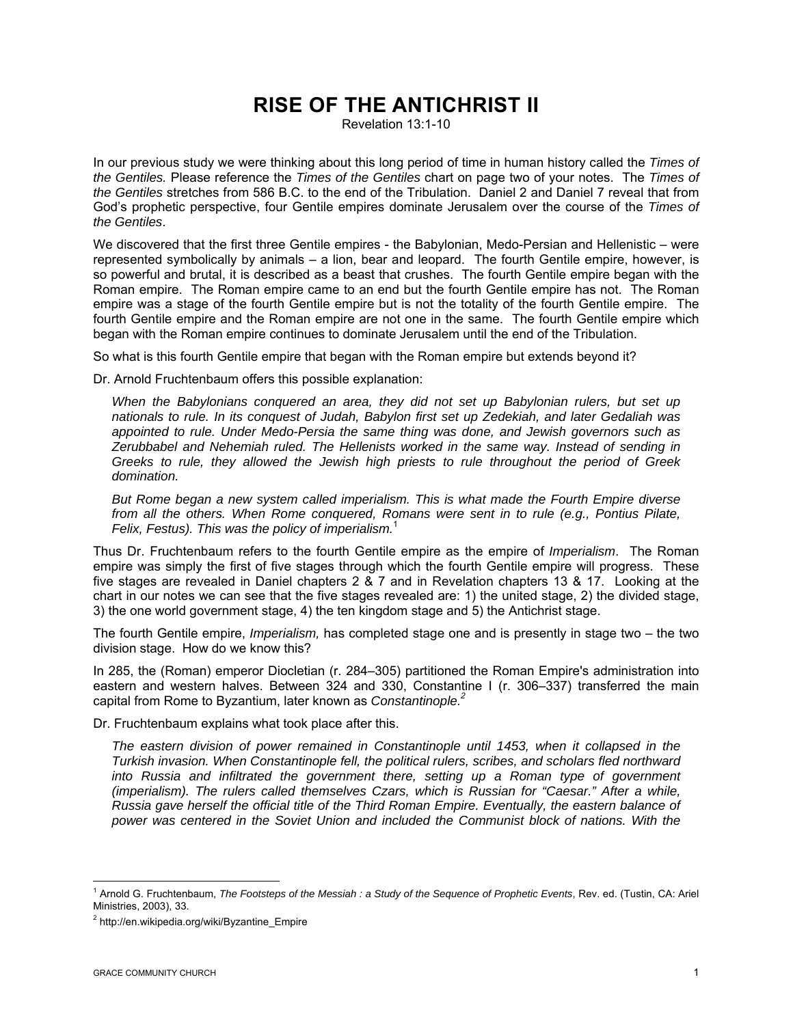# **RISE OF THE ANTICHRIST II**

Revelation 13:1-10

In our previous study we were thinking about this long period of time in human history called the *Times of the Gentiles.* Please reference the *Times of the Gentiles* chart on page two of your notes. The *Times of the Gentiles* stretches from 586 B.C. to the end of the Tribulation. Daniel 2 and Daniel 7 reveal that from God's prophetic perspective, four Gentile empires dominate Jerusalem over the course of the *Times of the Gentiles*.

We discovered that the first three Gentile empires - the Babylonian, Medo-Persian and Hellenistic – were represented symbolically by animals – a lion, bear and leopard. The fourth Gentile empire, however, is so powerful and brutal, it is described as a beast that crushes. The fourth Gentile empire began with the Roman empire. The Roman empire came to an end but the fourth Gentile empire has not. The Roman empire was a stage of the fourth Gentile empire but is not the totality of the fourth Gentile empire. The fourth Gentile empire and the Roman empire are not one in the same. The fourth Gentile empire which began with the Roman empire continues to dominate Jerusalem until the end of the Tribulation.

So what is this fourth Gentile empire that began with the Roman empire but extends beyond it?

Dr. Arnold Fruchtenbaum offers this possible explanation:

*When the Babylonians conquered an area, they did not set up Babylonian rulers, but set up nationals to rule. In its conquest of Judah, Babylon first set up Zedekiah, and later Gedaliah was appointed to rule. Under Medo-Persia the same thing was done, and Jewish governors such as Zerubbabel and Nehemiah ruled. The Hellenists worked in the same way. Instead of sending in Greeks to rule, they allowed the Jewish high priests to rule throughout the period of Greek domination.* 

*But Rome began a new system called imperialism. This is what made the Fourth Empire diverse from all the others. When Rome conquered, Romans were sent in to rule (e.g., Pontius Pilate, Felix, Festus). This was the policy of imperialism.*<sup>1</sup>

Thus Dr. Fruchtenbaum refers to the fourth Gentile empire as the empire of *Imperialism*. The Roman empire was simply the first of five stages through which the fourth Gentile empire will progress. These five stages are revealed in Daniel chapters 2 & 7 and in Revelation chapters 13 & 17. Looking at the chart in our notes we can see that the five stages revealed are: 1) the united stage, 2) the divided stage, 3) the one world government stage, 4) the ten kingdom stage and 5) the Antichrist stage.

The fourth Gentile empire, *Imperialism,* has completed stage one and is presently in stage two – the two division stage. How do we know this?

In 285, the (Roman) emperor Diocletian (r. 284–305) partitioned the Roman Empire's administration into eastern and western halves. Between 324 and 330, Constantine I (r. 306–337) transferred the main capital from Rome to Byzantium, later known as *Constantinople.2*

Dr. Fruchtenbaum explains what took place after this.

*The eastern division of power remained in Constantinople until 1453, when it collapsed in the Turkish invasion. When Constantinople fell, the political rulers, scribes, and scholars fled northward into Russia and infiltrated the government there, setting up a Roman type of government (imperialism). The rulers called themselves Czars, which is Russian for "Caesar." After a while, Russia gave herself the official title of the Third Roman Empire. Eventually, the eastern balance of power was centered in the Soviet Union and included the Communist block of nations. With the* 

 $\overline{a}$ 

<sup>&</sup>lt;sup>1</sup> Arnold G. Fruchtenbaum, *The Footsteps of the Messiah : a Study of the Sequence of Prophetic Events*, Rev. ed. (Tustin, CA: Ariel Ministries, 2003), 33.

<sup>&</sup>lt;sup>2</sup> http://en.wikipedia.org/wiki/Byzantine\_Empire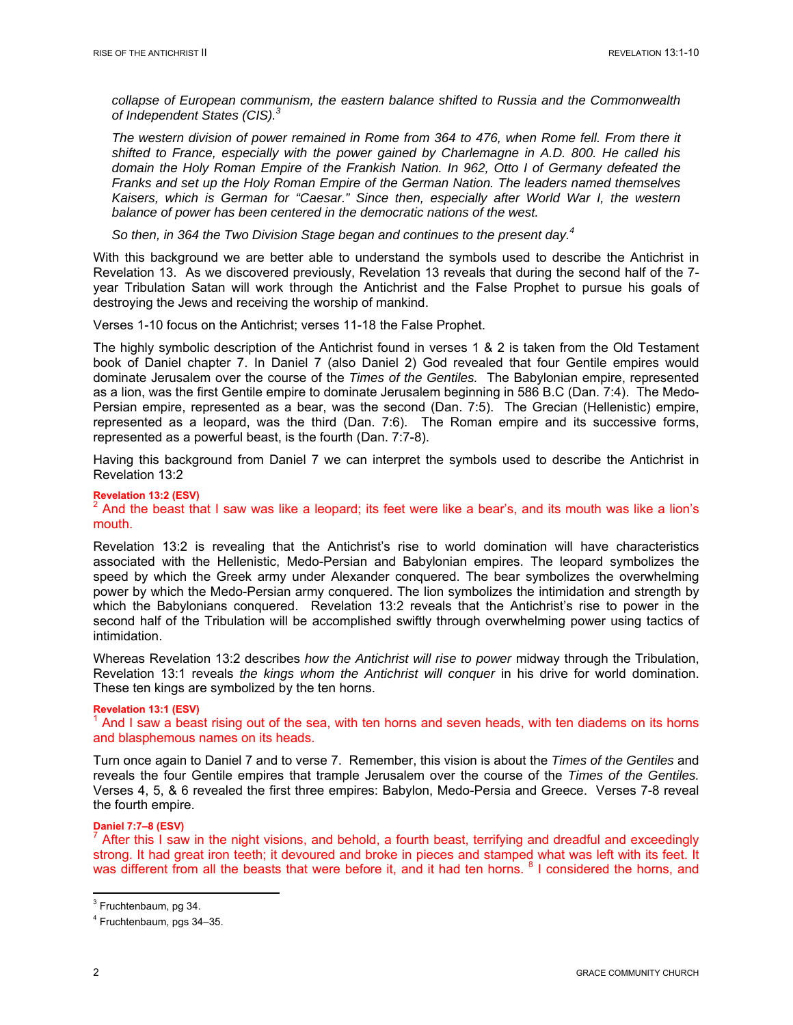*collapse of European communism, the eastern balance shifted to Russia and the Commonwealth of Independent States (CIS).<sup>3</sup>*

*The western division of power remained in Rome from 364 to 476, when Rome fell. From there it shifted to France, especially with the power gained by Charlemagne in A.D. 800. He called his domain the Holy Roman Empire of the Frankish Nation. In 962, Otto I of Germany defeated the Franks and set up the Holy Roman Empire of the German Nation. The leaders named themselves Kaisers, which is German for "Caesar." Since then, especially after World War I, the western balance of power has been centered in the democratic nations of the west.* 

*So then, in 364 the Two Division Stage began and continues to the present day.4*

With this background we are better able to understand the symbols used to describe the Antichrist in Revelation 13. As we discovered previously, Revelation 13 reveals that during the second half of the 7 year Tribulation Satan will work through the Antichrist and the False Prophet to pursue his goals of destroying the Jews and receiving the worship of mankind.

Verses 1-10 focus on the Antichrist; verses 11-18 the False Prophet.

The highly symbolic description of the Antichrist found in verses 1 & 2 is taken from the Old Testament book of Daniel chapter 7. In Daniel 7 (also Daniel 2) God revealed that four Gentile empires would dominate Jerusalem over the course of the *Times of the Gentiles.* The Babylonian empire, represented as a lion, was the first Gentile empire to dominate Jerusalem beginning in 586 B.C (Dan. 7:4). The Medo-Persian empire, represented as a bear, was the second (Dan. 7:5). The Grecian (Hellenistic) empire, represented as a leopard, was the third (Dan. 7:6). The Roman empire and its successive forms, represented as a powerful beast, is the fourth (Dan. 7:7-8).

Having this background from Daniel 7 we can interpret the symbols used to describe the Antichrist in Revelation 13:2

## **Revelation 13:2 (ESV)**   $2$  And the beast that I saw was like a leopard; its feet were like a bear's, and its mouth was like a lion's mouth.

Revelation 13:2 is revealing that the Antichrist's rise to world domination will have characteristics associated with the Hellenistic, Medo-Persian and Babylonian empires. The leopard symbolizes the speed by which the Greek army under Alexander conquered. The bear symbolizes the overwhelming power by which the Medo-Persian army conquered. The lion symbolizes the intimidation and strength by which the Babylonians conquered. Revelation 13:2 reveals that the Antichrist's rise to power in the second half of the Tribulation will be accomplished swiftly through overwhelming power using tactics of intimidation.

Whereas Revelation 13:2 describes *how the Antichrist will rise to power* midway through the Tribulation, Revelation 13:1 reveals *the kings whom the Antichrist will conquer* in his drive for world domination. These ten kings are symbolized by the ten horns.

## **Revelation 13:1 (ESV)**   $<sup>1</sup>$  And I saw a beast rising out of the sea, with ten horns and seven heads, with ten diadems on its horns</sup> and blasphemous names on its heads.

Turn once again to Daniel 7 and to verse 7. Remember, this vision is about the *Times of the Gentiles* and reveals the four Gentile empires that trample Jerusalem over the course of the *Times of the Gentiles.*  Verses 4, 5, & 6 revealed the first three empires: Babylon, Medo-Persia and Greece. Verses 7-8 reveal the fourth empire.

# **Daniel 7:7–8 (ESV)**

 $^7$  After this I saw in the night visions, and behold, a fourth beast, terrifying and dreadful and exceedingly strong. It had great iron teeth; it devoured and broke in pieces and stamped what was left with its feet. It was different from all the beasts that were before it, and it had ten horns. <sup>8</sup> I considered the horns, and

<sup>&</sup>lt;sup>3</sup> Fruchtenbaum, pg 34.

<sup>4</sup> Fruchtenbaum, pgs 34–35.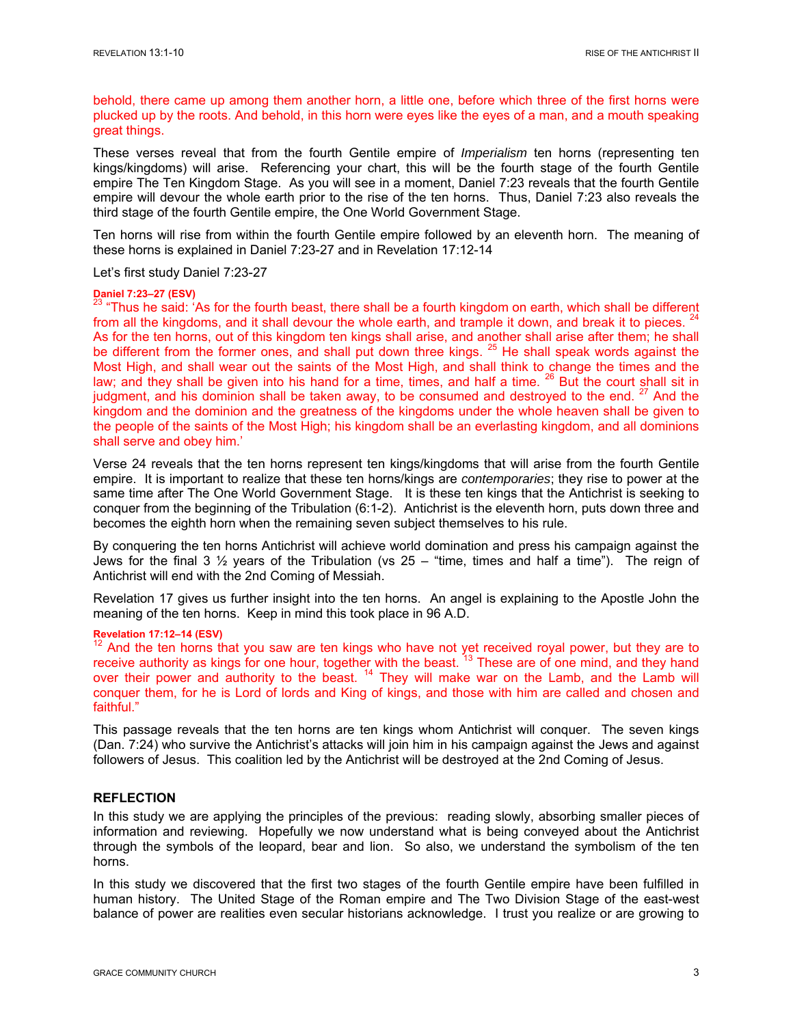behold, there came up among them another horn, a little one, before which three of the first horns were plucked up by the roots. And behold, in this horn were eyes like the eyes of a man, and a mouth speaking great things.

These verses reveal that from the fourth Gentile empire of *Imperialism* ten horns (representing ten kings/kingdoms) will arise. Referencing your chart, this will be the fourth stage of the fourth Gentile empire The Ten Kingdom Stage. As you will see in a moment, Daniel 7:23 reveals that the fourth Gentile empire will devour the whole earth prior to the rise of the ten horns. Thus, Daniel 7:23 also reveals the third stage of the fourth Gentile empire, the One World Government Stage.

Ten horns will rise from within the fourth Gentile empire followed by an eleventh horn. The meaning of these horns is explained in Daniel 7:23-27 and in Revelation 17:12-14

#### Let's first study Daniel 7:23-27

#### **Daniel 7:23–27 (ESV)**

<sup>23</sup> "Thus he said: 'As for the fourth beast, there shall be a fourth kingdom on earth, which shall be different from all the kingdoms, and it shall devour the whole earth, and trample it down, and break it to pieces. <sup>24</sup> As for the ten horns, out of this kingdom ten kings shall arise, and another shall arise after them; he shall be different from the former ones, and shall put down three kings. <sup>25</sup> He shall speak words against the Most High, and shall wear out the saints of the Most High, and shall think to change the times and the law; and they shall be given into his hand for a time, times, and half a time. <sup>26</sup> But the court shall sit in judgment, and his dominion shall be taken away, to be consumed and destroyed to the end.<sup>27</sup> And the kingdom and the dominion and the greatness of the kingdoms under the whole heaven shall be given to the people of the saints of the Most High; his kingdom shall be an everlasting kingdom, and all dominions shall serve and obey him.'

Verse 24 reveals that the ten horns represent ten kings/kingdoms that will arise from the fourth Gentile empire. It is important to realize that these ten horns/kings are *contemporaries*; they rise to power at the same time after The One World Government Stage. It is these ten kings that the Antichrist is seeking to conquer from the beginning of the Tribulation (6:1-2). Antichrist is the eleventh horn, puts down three and becomes the eighth horn when the remaining seven subject themselves to his rule.

By conquering the ten horns Antichrist will achieve world domination and press his campaign against the Jews for the final 3  $\frac{1}{2}$  years of the Tribulation (vs 25 – "time, times and half a time"). The reign of Antichrist will end with the 2nd Coming of Messiah.

Revelation 17 gives us further insight into the ten horns. An angel is explaining to the Apostle John the meaning of the ten horns. Keep in mind this took place in 96 A.D.

## **Revelation 17:12–14 (ESV)**

 $12$  And the ten horns that you saw are ten kings who have not yet received royal power, but they are to receive authority as kings for one hour, together with the beast. <sup>13</sup> These are of one mind, and they hand over their power and authority to the beast.<sup>14</sup> They will make war on the Lamb, and the Lamb will conquer them, for he is Lord of lords and King of kings, and those with him are called and chosen and faithful."

This passage reveals that the ten horns are ten kings whom Antichrist will conquer. The seven kings (Dan. 7:24) who survive the Antichrist's attacks will join him in his campaign against the Jews and against followers of Jesus. This coalition led by the Antichrist will be destroyed at the 2nd Coming of Jesus.

## **REFLECTION**

In this study we are applying the principles of the previous: reading slowly, absorbing smaller pieces of information and reviewing. Hopefully we now understand what is being conveyed about the Antichrist through the symbols of the leopard, bear and lion. So also, we understand the symbolism of the ten horns.

In this study we discovered that the first two stages of the fourth Gentile empire have been fulfilled in human history. The United Stage of the Roman empire and The Two Division Stage of the east-west balance of power are realities even secular historians acknowledge. I trust you realize or are growing to